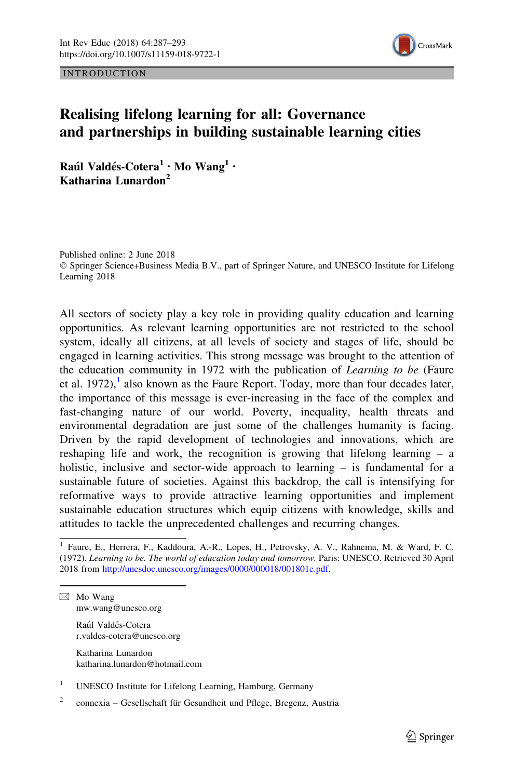

INTRODUCTION

## Realising lifelong learning for all: Governance and partnerships in building sustainable learning cities

Raúl Valdés-Cotera<sup>1</sup> · Mo Wang<sup>1</sup> · Katharina Lunardon<sup>2</sup>

Published online: 2 June 2018 © Springer Science+Business Media B.V., part of Springer Nature, and UNESCO Institute for Lifelong Learning 2018

All sectors of society play a key role in providing quality education and learning opportunities. As relevant learning opportunities are not restricted to the school system, ideally all citizens, at all levels of society and stages of life, should be engaged in learning activities. This strong message was brought to the attention of the education community in 1972 with the publication of *Learning to be* (Faure et al. 1972),<sup>1</sup> also known as the Faure Report. Today, more than four decades later, the importance of this message is ever-increasing in the face of the complex and fast-changing nature of our world. Poverty, inequality, health threats and environmental degradation are just some of the challenges humanity is facing. Driven by the rapid development of technologies and innovations, which are reshaping life and work, the recognition is growing that lifelong learning – a holistic, inclusive and sector-wide approach to learning – is fundamental for a sustainable future of societies. Against this backdrop, the call is intensifying for reformative ways to provide attractive learning opportunities and implement sustainable education structures which equip citizens with knowledge, skills and attitudes to tackle the unprecedented challenges and recurring changes.

 $\boxtimes$  Mo Wang mw.wang@unesco.org

> Raúl Valdés-Cotera r.valdes-cotera@unesco.org

Katharina Lunardon katharina.lunardon@hotmail.com

<sup>1</sup> Faure, E., Herrera, F., Kaddoura, A.-R., Lopes, H., Petrovsky, A. V., Rahnema, M. & Ward, F. C. (1972). Learning to be. The world of education today and tomorrow. Paris: UNESCO. Retrieved 30 April 2018 from [http://unesdoc.unesco.org/images/0000/000018/001801e.pdf.](http://unesdoc.unesco.org/images/0000/000018/001801e.pdf)

<sup>&</sup>lt;sup>1</sup> UNESCO Institute for Lifelong Learning, Hamburg, Germany

 $2^{\circ}$  connexia – Gesellschaft für Gesundheit und Pflege, Bregenz, Austria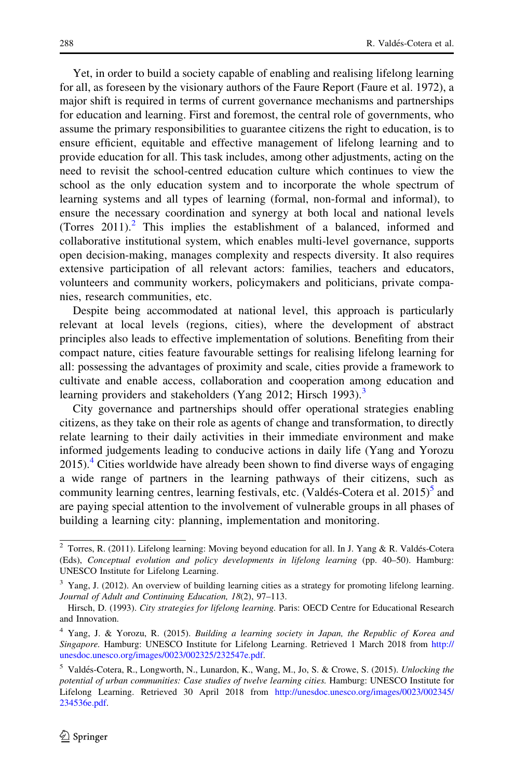Yet, in order to build a society capable of enabling and realising lifelong learning for all, as foreseen by the visionary authors of the Faure Report (Faure et al. 1972), a major shift is required in terms of current governance mechanisms and partnerships for education and learning. First and foremost, the central role of governments, who assume the primary responsibilities to guarantee citizens the right to education, is to ensure efficient, equitable and effective management of lifelong learning and to provide education for all. This task includes, among other adjustments, acting on the need to revisit the school-centred education culture which continues to view the school as the only education system and to incorporate the whole spectrum of learning systems and all types of learning (formal, non-formal and informal), to ensure the necessary coordination and synergy at both local and national levels (Torres  $2011$ ).<sup>2</sup> This implies the establishment of a balanced, informed and collaborative institutional system, which enables multi-level governance, supports open decision-making, manages complexity and respects diversity. It also requires extensive participation of all relevant actors: families, teachers and educators, volunteers and community workers, policymakers and politicians, private companies, research communities, etc.

Despite being accommodated at national level, this approach is particularly relevant at local levels (regions, cities), where the development of abstract principles also leads to effective implementation of solutions. Benefiting from their compact nature, cities feature favourable settings for realising lifelong learning for all: possessing the advantages of proximity and scale, cities provide a framework to cultivate and enable access, collaboration and cooperation among education and learning providers and stakeholders (Yang 2012; Hirsch 1993).<sup>3</sup>

City governance and partnerships should offer operational strategies enabling citizens, as they take on their role as agents of change and transformation, to directly relate learning to their daily activities in their immediate environment and make informed judgements leading to conducive actions in daily life (Yang and Yorozu  $2015$ .<sup>4</sup> Cities worldwide have already been shown to find diverse ways of engaging a wide range of partners in the learning pathways of their citizens, such as community learning centres, learning festivals, etc. (Valdés-Cotera et al. 2015)<sup>5</sup> and are paying special attention to the involvement of vulnerable groups in all phases of building a learning city: planning, implementation and monitoring.

<sup>&</sup>lt;sup>2</sup> Torres, R. (2011). Lifelong learning: Moving beyond education for all. In J. Yang & R. Valdés-Cotera (Eds), Conceptual evolution and policy developments in lifelong learning (pp. 40–50). Hamburg: UNESCO Institute for Lifelong Learning.

 $3$  Yang, J. (2012). An overview of building learning cities as a strategy for promoting lifelong learning. Journal of Adult and Continuing Education, 18(2), 97–113.

Hirsch, D. (1993). City strategies for lifelong learning. Paris: OECD Centre for Educational Research and Innovation.

<sup>4</sup> Yang, J. & Yorozu, R. (2015). Building a learning society in Japan, the Republic of Korea and Singapore. Hamburg: UNESCO Institute for Lifelong Learning. Retrieved 1 March 2018 from [http://](http://unesdoc.unesco.org/images/0023/002325/232547e.pdf) [unesdoc.unesco.org/images/0023/002325/232547e.pdf](http://unesdoc.unesco.org/images/0023/002325/232547e.pdf).

<sup>&</sup>lt;sup>5</sup> Valdés-Cotera, R., Longworth, N., Lunardon, K., Wang, M., Jo, S. & Crowe, S. (2015). Unlocking the potential of urban communities: Case studies of twelve learning cities. Hamburg: UNESCO Institute for Lifelong Learning. Retrieved 30 April 2018 from [http://unesdoc.unesco.org/images/0023/002345/](http://unesdoc.unesco.org/images/0023/002345/234536e.pdf) [234536e.pdf.](http://unesdoc.unesco.org/images/0023/002345/234536e.pdf)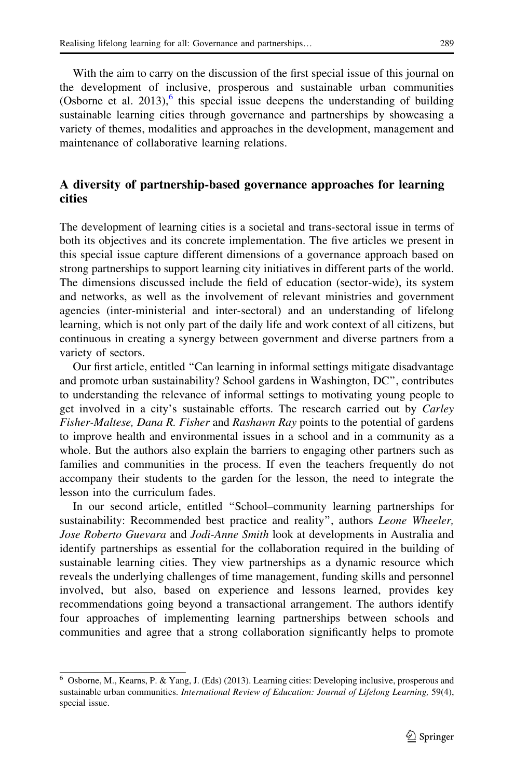With the aim to carry on the discussion of the first special issue of this journal on the development of inclusive, prosperous and sustainable urban communities (Osborne et al. 2013), $<sup>6</sup>$  this special issue deepens the understanding of building</sup> sustainable learning cities through governance and partnerships by showcasing a variety of themes, modalities and approaches in the development, management and maintenance of collaborative learning relations.

## A diversity of partnership-based governance approaches for learning cities

The development of learning cities is a societal and trans-sectoral issue in terms of both its objectives and its concrete implementation. The five articles we present in this special issue capture different dimensions of a governance approach based on strong partnerships to support learning city initiatives in different parts of the world. The dimensions discussed include the field of education (sector-wide), its system and networks, as well as the involvement of relevant ministries and government agencies (inter-ministerial and inter-sectoral) and an understanding of lifelong learning, which is not only part of the daily life and work context of all citizens, but continuous in creating a synergy between government and diverse partners from a variety of sectors.

Our first article, entitled ''Can learning in informal settings mitigate disadvantage and promote urban sustainability? School gardens in Washington, DC'', contributes to understanding the relevance of informal settings to motivating young people to get involved in a city's sustainable efforts. The research carried out by Carley Fisher-Maltese, Dana R. Fisher and Rashawn Ray points to the potential of gardens to improve health and environmental issues in a school and in a community as a whole. But the authors also explain the barriers to engaging other partners such as families and communities in the process. If even the teachers frequently do not accompany their students to the garden for the lesson, the need to integrate the lesson into the curriculum fades.

In our second article, entitled ''School–community learning partnerships for sustainability: Recommended best practice and reality", authors Leone Wheeler, Jose Roberto Guevara and Jodi-Anne Smith look at developments in Australia and identify partnerships as essential for the collaboration required in the building of sustainable learning cities. They view partnerships as a dynamic resource which reveals the underlying challenges of time management, funding skills and personnel involved, but also, based on experience and lessons learned, provides key recommendations going beyond a transactional arrangement. The authors identify four approaches of implementing learning partnerships between schools and communities and agree that a strong collaboration significantly helps to promote

<sup>6</sup> Osborne, M., Kearns, P. & Yang, J. (Eds) (2013). Learning cities: Developing inclusive, prosperous and sustainable urban communities. International Review of Education: Journal of Lifelong Learning, 59(4), special issue.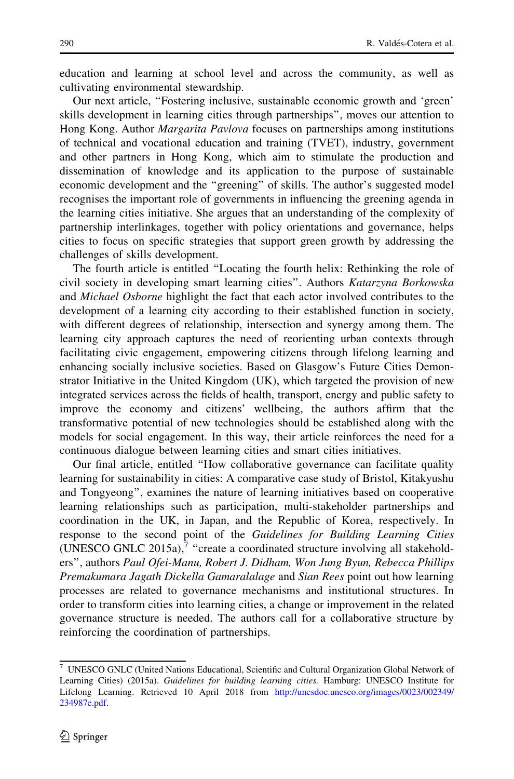education and learning at school level and across the community, as well as cultivating environmental stewardship.

Our next article, ''Fostering inclusive, sustainable economic growth and 'green' skills development in learning cities through partnerships'', moves our attention to Hong Kong. Author Margarita Pavlova focuses on partnerships among institutions of technical and vocational education and training (TVET), industry, government and other partners in Hong Kong, which aim to stimulate the production and dissemination of knowledge and its application to the purpose of sustainable economic development and the ''greening'' of skills. The author's suggested model recognises the important role of governments in influencing the greening agenda in the learning cities initiative. She argues that an understanding of the complexity of partnership interlinkages, together with policy orientations and governance, helps cities to focus on specific strategies that support green growth by addressing the challenges of skills development.

The fourth article is entitled ''Locating the fourth helix: Rethinking the role of civil society in developing smart learning cities''. Authors Katarzyna Borkowska and Michael Osborne highlight the fact that each actor involved contributes to the development of a learning city according to their established function in society, with different degrees of relationship, intersection and synergy among them. The learning city approach captures the need of reorienting urban contexts through facilitating civic engagement, empowering citizens through lifelong learning and enhancing socially inclusive societies. Based on Glasgow's Future Cities Demonstrator Initiative in the United Kingdom (UK), which targeted the provision of new integrated services across the fields of health, transport, energy and public safety to improve the economy and citizens' wellbeing, the authors affirm that the transformative potential of new technologies should be established along with the models for social engagement. In this way, their article reinforces the need for a continuous dialogue between learning cities and smart cities initiatives.

Our final article, entitled ''How collaborative governance can facilitate quality learning for sustainability in cities: A comparative case study of Bristol, Kitakyushu and Tongyeong'', examines the nature of learning initiatives based on cooperative learning relationships such as participation, multi-stakeholder partnerships and coordination in the UK, in Japan, and the Republic of Korea, respectively. In response to the second point of the Guidelines for Building Learning Cities (UNESCO GNLC 2015a), $^7$  "create a coordinated structure involving all stakeholders'', authors Paul Ofei-Manu, Robert J. Didham, Won Jung Byun, Rebecca Phillips Premakumara Jagath Dickella Gamaralalage and Sian Rees point out how learning processes are related to governance mechanisms and institutional structures. In order to transform cities into learning cities, a change or improvement in the related governance structure is needed. The authors call for a collaborative structure by reinforcing the coordination of partnerships.

 $^7\,$  UNESCO GNLC (United Nations Educational, Scientific and Cultural Organization Global Network of Learning Cities) (2015a). Guidelines for building learning cities. Hamburg: UNESCO Institute for Lifelong Learning. Retrieved 10 April 2018 from [http://unesdoc.unesco.org/images/0023/002349/](http://unesdoc.unesco.org/images/0023/002349/234987e.pdf) [234987e.pdf.](http://unesdoc.unesco.org/images/0023/002349/234987e.pdf)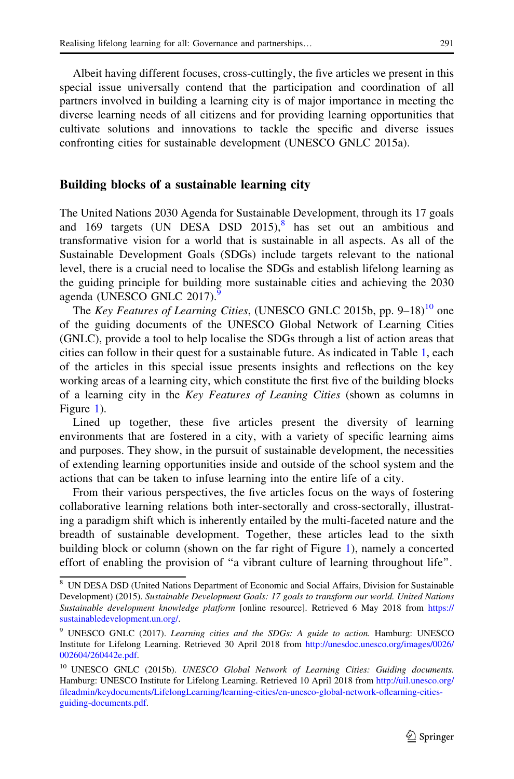Albeit having different focuses, cross-cuttingly, the five articles we present in this special issue universally contend that the participation and coordination of all partners involved in building a learning city is of major importance in meeting the diverse learning needs of all citizens and for providing learning opportunities that cultivate solutions and innovations to tackle the specific and diverse issues confronting cities for sustainable development (UNESCO GNLC 2015a).

## Building blocks of a sustainable learning city

The United Nations 2030 Agenda for Sustainable Development, through its 17 goals and 169 targets (UN DESA DSD  $2015$ ),<sup>8</sup> has set out an ambitious and transformative vision for a world that is sustainable in all aspects. As all of the Sustainable Development Goals (SDGs) include targets relevant to the national level, there is a crucial need to localise the SDGs and establish lifelong learning as the guiding principle for building more sustainable cities and achieving the 2030 agenda (UNESCO GNLC 2017).

The Key Features of Learning Cities, (UNESCO GNLC 2015b, pp.  $9-18$ )<sup>10</sup> one of the guiding documents of the UNESCO Global Network of Learning Cities (GNLC), provide a tool to help localise the SDGs through a list of action areas that cities can follow in their quest for a sustainable future. As indicated in Table [1,](#page-5-0) each of the articles in this special issue presents insights and reflections on the key working areas of a learning city, which constitute the first five of the building blocks of a learning city in the Key Features of Leaning Cities (shown as columns in Figure [1](#page-5-0)).

Lined up together, these five articles present the diversity of learning environments that are fostered in a city, with a variety of specific learning aims and purposes. They show, in the pursuit of sustainable development, the necessities of extending learning opportunities inside and outside of the school system and the actions that can be taken to infuse learning into the entire life of a city.

From their various perspectives, the five articles focus on the ways of fostering collaborative learning relations both inter-sectorally and cross-sectorally, illustrating a paradigm shift which is inherently entailed by the multi-faceted nature and the breadth of sustainable development. Together, these articles lead to the sixth building block or column (shown on the far right of Figure [1](#page-5-0)), namely a concerted effort of enabling the provision of ''a vibrant culture of learning throughout life''.

<sup>8</sup> UN DESA DSD (United Nations Department of Economic and Social Affairs, Division for Sustainable Development) (2015). Sustainable Development Goals: 17 goals to transform our world. United Nations Sustainable development knowledge platform [online resource]. Retrieved 6 May 2018 from [https://](https://sustainabledevelopment.un.org/) [sustainabledevelopment.un.org/](https://sustainabledevelopment.un.org/).

<sup>9</sup> UNESCO GNLC (2017). Learning cities and the SDGs: A guide to action. Hamburg: UNESCO Institute for Lifelong Learning. Retrieved 30 April 2018 from [http://unesdoc.unesco.org/images/0026/](http://unesdoc.unesco.org/images/0026/002604/260442e.pdf) [002604/260442e.pdf](http://unesdoc.unesco.org/images/0026/002604/260442e.pdf).

<sup>&</sup>lt;sup>10</sup> UNESCO GNLC (2015b). UNESCO Global Network of Learning Cities: Guiding documents. Hamburg: UNESCO Institute for Lifelong Learning. Retrieved 10 April 2018 from [http://uil.unesco.org/](http://uil.unesco.org/fileadmin/keydocuments/LifelongLearning/learning-cities/en-unesco-global-network-oflearning-cities-guiding-documents.pdf) [fileadmin/keydocuments/LifelongLearning/learning-cities/en-unesco-global-network-oflearning-cities](http://uil.unesco.org/fileadmin/keydocuments/LifelongLearning/learning-cities/en-unesco-global-network-oflearning-cities-guiding-documents.pdf)[guiding-documents.pdf](http://uil.unesco.org/fileadmin/keydocuments/LifelongLearning/learning-cities/en-unesco-global-network-oflearning-cities-guiding-documents.pdf).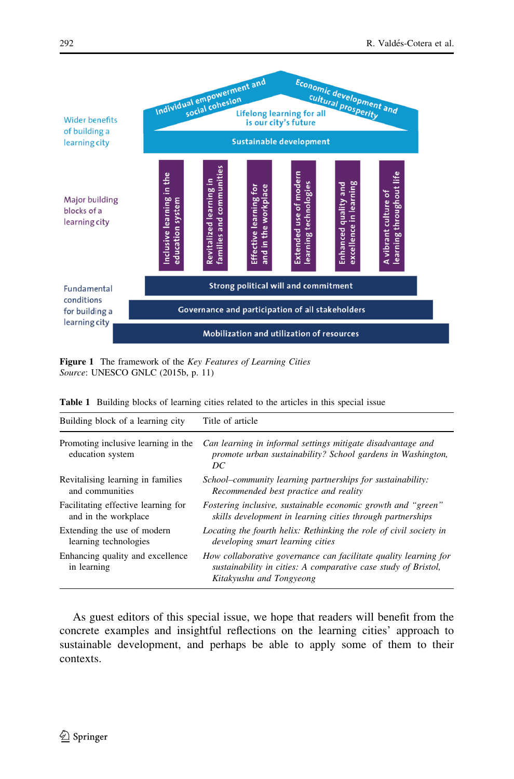<span id="page-5-0"></span>

Figure 1 The framework of the Key Features of Learning Cities Source: UNESCO GNLC (2015b, p. 11)

| Building block of a learning city                       | Title of article                                                                                                                                               |
|---------------------------------------------------------|----------------------------------------------------------------------------------------------------------------------------------------------------------------|
| Promoting inclusive learning in the<br>education system | Can learning in informal settings mitigate disadvantage and<br>promote urban sustainability? School gardens in Washington,<br>DС                               |
| Revitalising learning in families                       | School–community learning partnerships for sustainability:                                                                                                     |
| and communities                                         | Recommended best practice and reality                                                                                                                          |
| Facilitating effective learning for                     | Fostering inclusive, sustainable economic growth and "green"                                                                                                   |
| and in the workplace                                    | skills development in learning cities through partnerships                                                                                                     |
| Extending the use of modern                             | Locating the fourth helix: Rethinking the role of civil society in                                                                                             |
| learning technologies                                   | developing smart learning cities                                                                                                                               |
| Enhancing quality and excellence<br>in learning         | How collaborative governance can facilitate quality learning for<br>sustainability in cities: A comparative case study of Bristol,<br>Kitakyushu and Tongyeong |

Table 1 Building blocks of learning cities related to the articles in this special issue

As guest editors of this special issue, we hope that readers will benefit from the concrete examples and insightful reflections on the learning cities' approach to sustainable development, and perhaps be able to apply some of them to their contexts.